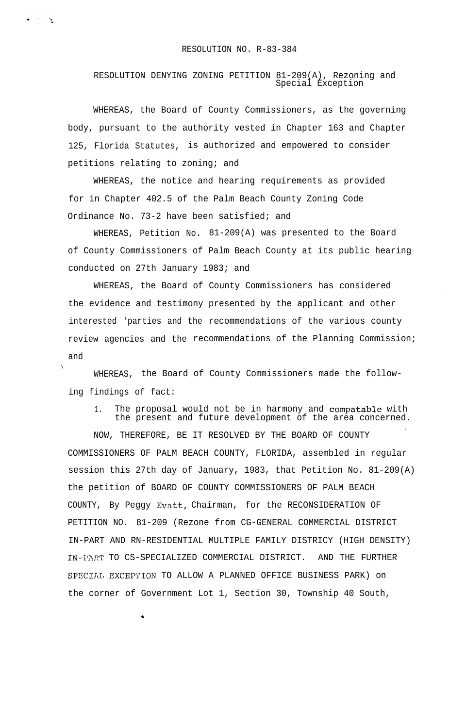RESOLUTION DENYING ZONING PETITION 81-209(A), Rezoning and Special Exception

WHEREAS, the Board of County Commissioners, as the governing body, pursuant to the authority vested in Chapter 163 and Chapter 125, Florida Statutes, is authorized and empowered to consider petitions relating to zoning; and

WHEREAS, the notice and hearing requirements as provided for in Chapter 402.5 of the Palm Beach County Zoning Code Ordinance No. 73-2 have been satisfied; and

WHEREAS, Petition No. 81-209(A) was presented to the Board of County Commissioners of Palm Beach County at its public hearing conducted on 27th January 1983; and

WHEREAS, the Board of County Commissioners has considered the evidence and testimony presented by the applicant and other interested 'parties and the recommendations of the various county review agencies and the recommendations of the Planning Commission; and

WHEREAS, the Board of County Commissioners made the following findings of fact:

1. The proposal would not be in harmony and compatable with the present and future development of the area concerned.

. NOW, THEREFORE, BE IT RESOLVED BY THE BOARD OF COUNTY COMMISSIONERS OF PALM BEACH COUNTY, FLORIDA, assembled in regular session this 27th day of January, 1983, that Petition No. 81-209(A) the petition of BOARD OF COUNTY COMMISSIONERS OF PALM BEACH COUNTY, By Peggy Evatt, Chairman, for the RECONSIDERATION OF PETITION NO. 81-209 (Rezone from CG-GENERAL COMMERCIAL DISTRICT IN-PART AND RN-RESIDENTIAL MULTIPLE FAMILY DISTRICY (HIGH DENSITY) IN-PART TO CS-SPECIALIZED COMMERCIAL DISTRICT. AND THE FURTHER SPECIAL EXCEPTION TO ALLOW A PLANNED OFFICE BUSINESS PARK) on the corner of Government Lot 1, Section 30, Township 40 South,

.

 $\bullet$  and  $\mathbb{Z}_2$ 

\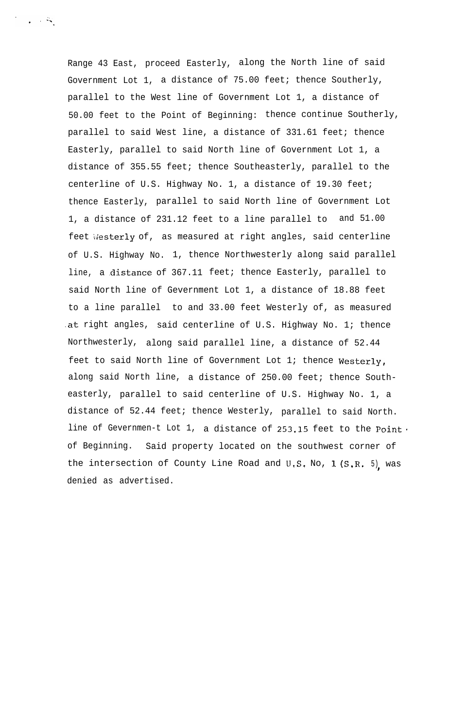Range 43 East, proceed Easterly, along the North line of said Government Lot 1, a distance of 75.00 feet; thence Southerly, parallel to the West line of Government Lot 1, a distance of 50.00 feet to the Point of Beginning: thence continue Southerly, parallel to said West line, a distance of 331.61 feet; thence Easterly, parallel to said North line of Government Lot 1, a distance of 355.55 feet; thence Southeasterly, parallel to the centerline of U.S. Highway No. 1, a distance of 19.30 feet; thence Easterly, parallel to said North line of Government Lot 1, a distance of 231.12 feet to a line parallel to and 51.00 feet westerly of, as measured at right angles, said centerline of U.S. Highway No. 1, thence Northwesterly along said parallel line, a distance of 367.11 feet; thence Easterly, parallel to said North line of Gevernment Lot 1, a distance of 18.88 feet to a line parallel to and 33.00 feet Westerly of, as measured .at right angles, said centerline of U.S. Highway No. 1; thence Northwesterly, along said parallel line, a distance of 52.44 feet to said North line of Government Lot 1; thence **Westerly,** along said North line, a distance of 250.00 feet; thence Southeasterly, parallel to said centerline of U.S. Highway No. 1, a distance of 52.44 feet; thence Westerly, parallel to said North. line of Gevernmen-t Lot 1, a distance of  $253,15$  feet to the Point. of Beginning. Said property located on the southwest corner of the intersection of County Line Road and U.S. No, 1 (S.R. 5), was denied as advertised.

 $\mathcal{L} \rightarrow \mathcal{L} \rightarrow \mathcal{L} \mathcal{L}$